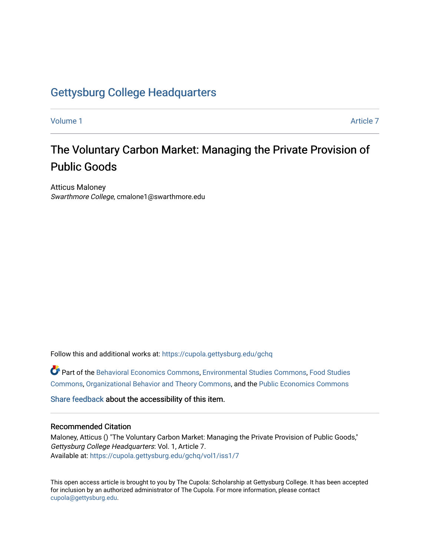# [Gettysburg College Headquarters](https://cupola.gettysburg.edu/gchq)

[Volume 1](https://cupola.gettysburg.edu/gchq/vol1) Article 7

# The Voluntary Carbon Market: Managing the Private Provision of Public Goods

Atticus Maloney Swarthmore College, cmalone1@swarthmore.edu

Follow this and additional works at: [https://cupola.gettysburg.edu/gchq](https://cupola.gettysburg.edu/gchq?utm_source=cupola.gettysburg.edu%2Fgchq%2Fvol1%2Fiss1%2F7&utm_medium=PDF&utm_campaign=PDFCoverPages)

Part of the [Behavioral Economics Commons](https://network.bepress.com/hgg/discipline/341?utm_source=cupola.gettysburg.edu%2Fgchq%2Fvol1%2Fiss1%2F7&utm_medium=PDF&utm_campaign=PDFCoverPages), [Environmental Studies Commons](https://network.bepress.com/hgg/discipline/1333?utm_source=cupola.gettysburg.edu%2Fgchq%2Fvol1%2Fiss1%2F7&utm_medium=PDF&utm_campaign=PDFCoverPages), [Food Studies](https://network.bepress.com/hgg/discipline/1386?utm_source=cupola.gettysburg.edu%2Fgchq%2Fvol1%2Fiss1%2F7&utm_medium=PDF&utm_campaign=PDFCoverPages) [Commons](https://network.bepress.com/hgg/discipline/1386?utm_source=cupola.gettysburg.edu%2Fgchq%2Fvol1%2Fiss1%2F7&utm_medium=PDF&utm_campaign=PDFCoverPages), [Organizational Behavior and Theory Commons,](https://network.bepress.com/hgg/discipline/639?utm_source=cupola.gettysburg.edu%2Fgchq%2Fvol1%2Fiss1%2F7&utm_medium=PDF&utm_campaign=PDFCoverPages) and the [Public Economics Commons](https://network.bepress.com/hgg/discipline/351?utm_source=cupola.gettysburg.edu%2Fgchq%2Fvol1%2Fiss1%2F7&utm_medium=PDF&utm_campaign=PDFCoverPages) 

[Share feedback](https://docs.google.com/a/bepress.com/forms/d/1h9eEcpBPj5POs5oO6Y5A0blXRmZqykoonyYiZUNyEq8/viewform) about the accessibility of this item.

## Recommended Citation

Maloney, Atticus () "The Voluntary Carbon Market: Managing the Private Provision of Public Goods," Gettysburg College Headquarters: Vol. 1, Article 7. Available at: [https://cupola.gettysburg.edu/gchq/vol1/iss1/7](https://cupola.gettysburg.edu/gchq/vol1/iss1/7?utm_source=cupola.gettysburg.edu%2Fgchq%2Fvol1%2Fiss1%2F7&utm_medium=PDF&utm_campaign=PDFCoverPages) 

This open access article is brought to you by The Cupola: Scholarship at Gettysburg College. It has been accepted for inclusion by an authorized administrator of The Cupola. For more information, please contact [cupola@gettysburg.edu.](mailto:cupola@gettysburg.edu)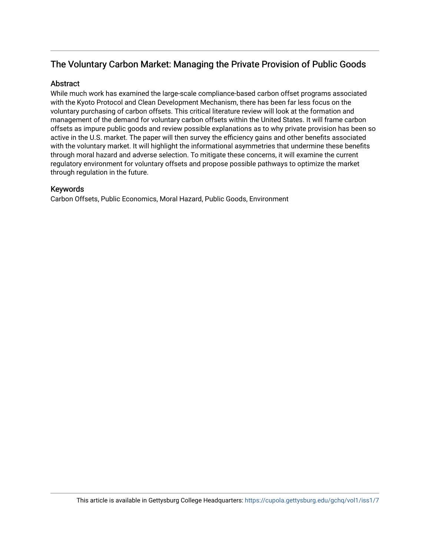# The Voluntary Carbon Market: Managing the Private Provision of Public Goods

# **Abstract**

While much work has examined the large-scale compliance-based carbon offset programs associated with the Kyoto Protocol and Clean Development Mechanism, there has been far less focus on the voluntary purchasing of carbon offsets. This critical literature review will look at the formation and management of the demand for voluntary carbon offsets within the United States. It will frame carbon offsets as impure public goods and review possible explanations as to why private provision has been so active in the U.S. market. The paper will then survey the efficiency gains and other benefits associated with the voluntary market. It will highlight the informational asymmetries that undermine these benefits through moral hazard and adverse selection. To mitigate these concerns, it will examine the current regulatory environment for voluntary offsets and propose possible pathways to optimize the market through regulation in the future.

# Keywords

Carbon Offsets, Public Economics, Moral Hazard, Public Goods, Environment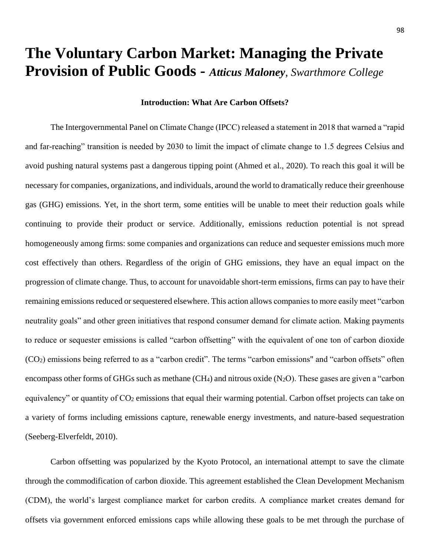# **The Voluntary Carbon Market: Managing the Private Provision of Public Goods -** *Atticus Maloney*, *Swarthmore College*

### **Introduction: What Are Carbon Offsets?**

The Intergovernmental Panel on Climate Change (IPCC) released a statement in 2018 that warned a "rapid and far-reaching" transition is needed by 2030 to limit the impact of climate change to 1.5 degrees Celsius and avoid pushing natural systems past a dangerous tipping point (Ahmed et al., 2020). To reach this goal it will be necessary for companies, organizations, and individuals, around the world to dramatically reduce their greenhouse gas (GHG) emissions. Yet, in the short term, some entities will be unable to meet their reduction goals while continuing to provide their product or service. Additionally, emissions reduction potential is not spread homogeneously among firms: some companies and organizations can reduce and sequester emissions much more cost effectively than others. Regardless of the origin of GHG emissions, they have an equal impact on the progression of climate change. Thus, to account for unavoidable short-term emissions, firms can pay to have their remaining emissions reduced or sequestered elsewhere. This action allows companies to more easily meet "carbon neutrality goals" and other green initiatives that respond consumer demand for climate action. Making payments to reduce or sequester emissions is called "carbon offsetting" with the equivalent of one ton of carbon dioxide (CO2) emissions being referred to as a "carbon credit". The terms "carbon emissions" and "carbon offsets" often encompass other forms of GHGs such as methane (CH<sub>4</sub>) and nitrous oxide (N<sub>2</sub>O). These gases are given a "carbon" equivalency" or quantity of CO<sup>2</sup> emissions that equal their warming potential. Carbon offset projects can take on a variety of forms including emissions capture, renewable energy investments, and nature-based sequestration (Seeberg-Elverfeldt, 2010).

Carbon offsetting was popularized by the Kyoto Protocol, an international attempt to save the climate through the commodification of carbon dioxide. This agreement established the Clean Development Mechanism (CDM), the world's largest compliance market for carbon credits. A compliance market creates demand for offsets via government enforced emissions caps while allowing these goals to be met through the purchase of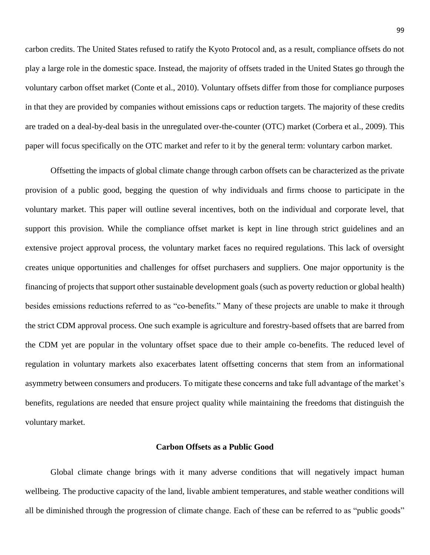carbon credits. The United States refused to ratify the Kyoto Protocol and, as a result, compliance offsets do not play a large role in the domestic space. Instead, the majority of offsets traded in the United States go through the voluntary carbon offset market (Conte et al., 2010). Voluntary offsets differ from those for compliance purposes in that they are provided by companies without emissions caps or reduction targets. The majority of these credits are traded on a deal-by-deal basis in the unregulated over-the-counter (OTC) market (Corbera et al., 2009). This paper will focus specifically on the OTC market and refer to it by the general term: voluntary carbon market.

Offsetting the impacts of global climate change through carbon offsets can be characterized as the private provision of a public good, begging the question of why individuals and firms choose to participate in the voluntary market. This paper will outline several incentives, both on the individual and corporate level, that support this provision. While the compliance offset market is kept in line through strict guidelines and an extensive project approval process, the voluntary market faces no required regulations. This lack of oversight creates unique opportunities and challenges for offset purchasers and suppliers. One major opportunity is the financing of projects that support other sustainable development goals (such as poverty reduction or global health) besides emissions reductions referred to as "co-benefits." Many of these projects are unable to make it through the strict CDM approval process. One such example is agriculture and forestry-based offsets that are barred from the CDM yet are popular in the voluntary offset space due to their ample co-benefits. The reduced level of regulation in voluntary markets also exacerbates latent offsetting concerns that stem from an informational asymmetry between consumers and producers. To mitigate these concerns and take full advantage of the market's benefits, regulations are needed that ensure project quality while maintaining the freedoms that distinguish the voluntary market.

# **Carbon Offsets as a Public Good**

Global climate change brings with it many adverse conditions that will negatively impact human wellbeing. The productive capacity of the land, livable ambient temperatures, and stable weather conditions will all be diminished through the progression of climate change. Each of these can be referred to as "public goods"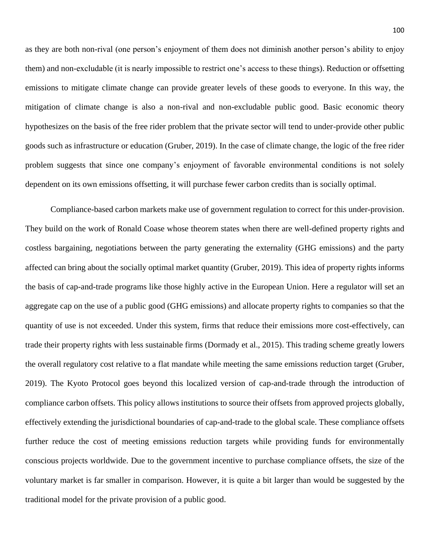as they are both non-rival (one person's enjoyment of them does not diminish another person's ability to enjoy them) and non-excludable (it is nearly impossible to restrict one's access to these things). Reduction or offsetting emissions to mitigate climate change can provide greater levels of these goods to everyone. In this way, the mitigation of climate change is also a non-rival and non-excludable public good. Basic economic theory hypothesizes on the basis of the free rider problem that the private sector will tend to under-provide other public goods such as infrastructure or education (Gruber, 2019). In the case of climate change, the logic of the free rider problem suggests that since one company's enjoyment of favorable environmental conditions is not solely dependent on its own emissions offsetting, it will purchase fewer carbon credits than is socially optimal.

Compliance-based carbon markets make use of government regulation to correct for this under-provision. They build on the work of Ronald Coase whose theorem states when there are well-defined property rights and costless bargaining, negotiations between the party generating the externality (GHG emissions) and the party affected can bring about the socially optimal market quantity (Gruber, 2019). This idea of property rights informs the basis of cap-and-trade programs like those highly active in the European Union. Here a regulator will set an aggregate cap on the use of a public good (GHG emissions) and allocate property rights to companies so that the quantity of use is not exceeded. Under this system, firms that reduce their emissions more cost-effectively, can trade their property rights with less sustainable firms (Dormady et al., 2015). This trading scheme greatly lowers the overall regulatory cost relative to a flat mandate while meeting the same emissions reduction target (Gruber, 2019). The Kyoto Protocol goes beyond this localized version of cap-and-trade through the introduction of compliance carbon offsets. This policy allows institutions to source their offsets from approved projects globally, effectively extending the jurisdictional boundaries of cap-and-trade to the global scale. These compliance offsets further reduce the cost of meeting emissions reduction targets while providing funds for environmentally conscious projects worldwide. Due to the government incentive to purchase compliance offsets, the size of the voluntary market is far smaller in comparison. However, it is quite a bit larger than would be suggested by the traditional model for the private provision of a public good.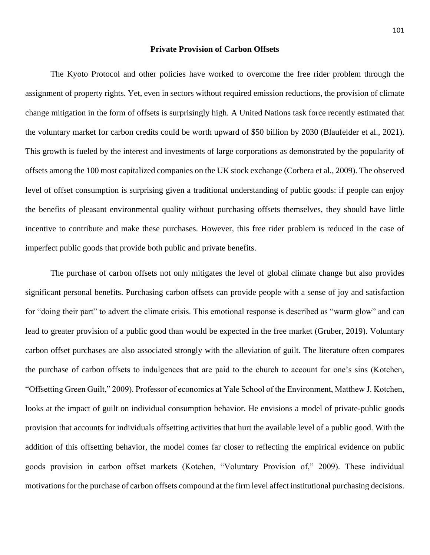#### **Private Provision of Carbon Offsets**

The Kyoto Protocol and other policies have worked to overcome the free rider problem through the assignment of property rights. Yet, even in sectors without required emission reductions, the provision of climate change mitigation in the form of offsets is surprisingly high. A United Nations task force recently estimated that the voluntary market for carbon credits could be worth upward of \$50 billion by 2030 (Blaufelder et al., 2021). This growth is fueled by the interest and investments of large corporations as demonstrated by the popularity of offsets among the 100 most capitalized companies on the UK stock exchange (Corbera et al., 2009). The observed level of offset consumption is surprising given a traditional understanding of public goods: if people can enjoy the benefits of pleasant environmental quality without purchasing offsets themselves, they should have little incentive to contribute and make these purchases. However, this free rider problem is reduced in the case of imperfect public goods that provide both public and private benefits.

The purchase of carbon offsets not only mitigates the level of global climate change but also provides significant personal benefits. Purchasing carbon offsets can provide people with a sense of joy and satisfaction for "doing their part" to advert the climate crisis. This emotional response is described as "warm glow" and can lead to greater provision of a public good than would be expected in the free market (Gruber, 2019). Voluntary carbon offset purchases are also associated strongly with the alleviation of guilt. The literature often compares the purchase of carbon offsets to indulgences that are paid to the church to account for one's sins (Kotchen, "Offsetting Green Guilt," 2009). Professor of economics at Yale School of the Environment, Matthew J. Kotchen, looks at the impact of guilt on individual consumption behavior. He envisions a model of private-public goods provision that accounts for individuals offsetting activities that hurt the available level of a public good. With the addition of this offsetting behavior, the model comes far closer to reflecting the empirical evidence on public goods provision in carbon offset markets (Kotchen, "Voluntary Provision of," 2009). These individual motivations for the purchase of carbon offsets compound at the firm level affect institutional purchasing decisions.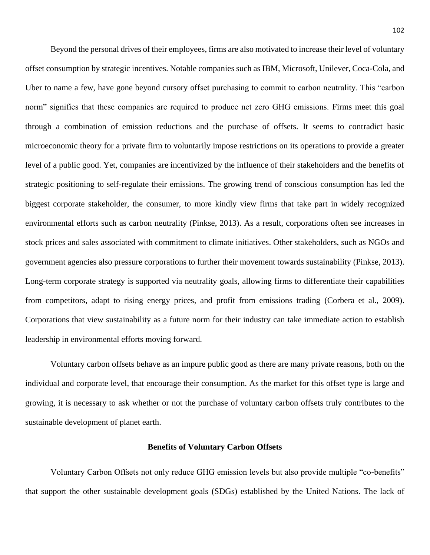Beyond the personal drives of their employees, firms are also motivated to increase their level of voluntary offset consumption by strategic incentives. Notable companies such as IBM, Microsoft, Unilever, Coca-Cola, and Uber to name a few, have gone beyond cursory offset purchasing to commit to carbon neutrality. This "carbon norm" signifies that these companies are required to produce net zero GHG emissions. Firms meet this goal through a combination of emission reductions and the purchase of offsets. It seems to contradict basic microeconomic theory for a private firm to voluntarily impose restrictions on its operations to provide a greater level of a public good. Yet, companies are incentivized by the influence of their stakeholders and the benefits of strategic positioning to self-regulate their emissions. The growing trend of conscious consumption has led the biggest corporate stakeholder, the consumer, to more kindly view firms that take part in widely recognized environmental efforts such as carbon neutrality (Pinkse, 2013). As a result, corporations often see increases in stock prices and sales associated with commitment to climate initiatives. Other stakeholders, such as NGOs and government agencies also pressure corporations to further their movement towards sustainability (Pinkse, 2013). Long-term corporate strategy is supported via neutrality goals, allowing firms to differentiate their capabilities from competitors, adapt to rising energy prices, and profit from emissions trading (Corbera et al., 2009). Corporations that view sustainability as a future norm for their industry can take immediate action to establish leadership in environmental efforts moving forward.

Voluntary carbon offsets behave as an impure public good as there are many private reasons, both on the individual and corporate level, that encourage their consumption. As the market for this offset type is large and growing, it is necessary to ask whether or not the purchase of voluntary carbon offsets truly contributes to the sustainable development of planet earth.

#### **Benefits of Voluntary Carbon Offsets**

Voluntary Carbon Offsets not only reduce GHG emission levels but also provide multiple "co-benefits" that support the other sustainable development goals (SDGs) established by the United Nations. The lack of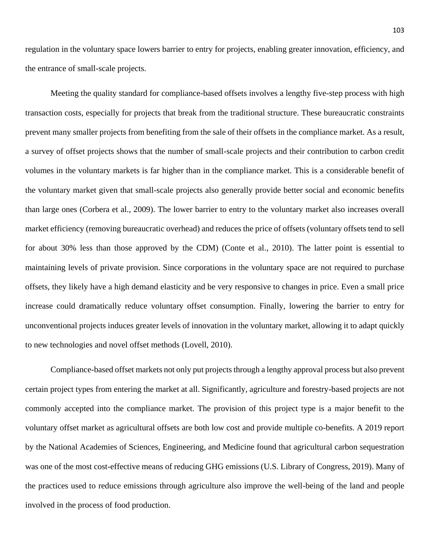regulation in the voluntary space lowers barrier to entry for projects, enabling greater innovation, efficiency, and the entrance of small-scale projects.

Meeting the quality standard for compliance-based offsets involves a lengthy five-step process with high transaction costs, especially for projects that break from the traditional structure. These bureaucratic constraints prevent many smaller projects from benefiting from the sale of their offsets in the compliance market. As a result, a survey of offset projects shows that the number of small-scale projects and their contribution to carbon credit volumes in the voluntary markets is far higher than in the compliance market. This is a considerable benefit of the voluntary market given that small-scale projects also generally provide better social and economic benefits than large ones (Corbera et al., 2009). The lower barrier to entry to the voluntary market also increases overall market efficiency (removing bureaucratic overhead) and reduces the price of offsets (voluntary offsets tend to sell for about 30% less than those approved by the CDM) (Conte et al., 2010). The latter point is essential to maintaining levels of private provision. Since corporations in the voluntary space are not required to purchase offsets, they likely have a high demand elasticity and be very responsive to changes in price. Even a small price increase could dramatically reduce voluntary offset consumption. Finally, lowering the barrier to entry for unconventional projects induces greater levels of innovation in the voluntary market, allowing it to adapt quickly to new technologies and novel offset methods (Lovell, 2010).

Compliance-based offset markets not only put projects through a lengthy approval process but also prevent certain project types from entering the market at all. Significantly, agriculture and forestry-based projects are not commonly accepted into the compliance market. The provision of this project type is a major benefit to the voluntary offset market as agricultural offsets are both low cost and provide multiple co-benefits. A 2019 report by the National Academies of Sciences, Engineering, and Medicine found that agricultural carbon sequestration was one of the most cost-effective means of reducing GHG emissions (U.S. Library of Congress, 2019). Many of the practices used to reduce emissions through agriculture also improve the well-being of the land and people involved in the process of food production.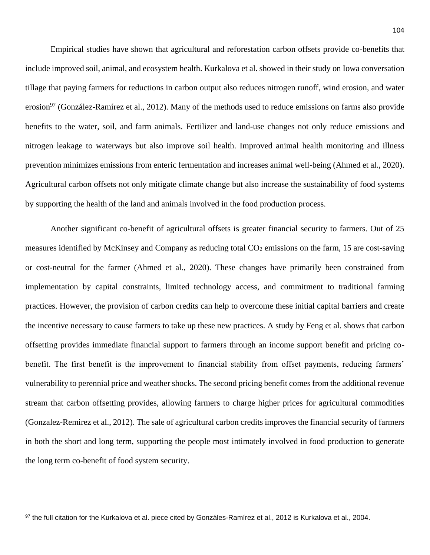Empirical studies have shown that agricultural and reforestation carbon offsets provide co-benefits that include improved soil, animal, and ecosystem health. Kurkalova et al. showed in their study on Iowa conversation tillage that paying farmers for reductions in carbon output also reduces nitrogen runoff, wind erosion, and water erosion<sup>97</sup> (González-Ramírez et al., 2012). Many of the methods used to reduce emissions on farms also provide benefits to the water, soil, and farm animals. Fertilizer and land-use changes not only reduce emissions and nitrogen leakage to waterways but also improve soil health. Improved animal health monitoring and illness prevention minimizes emissions from enteric fermentation and increases animal well-being (Ahmed et al., 2020). Agricultural carbon offsets not only mitigate climate change but also increase the sustainability of food systems by supporting the health of the land and animals involved in the food production process.

Another significant co-benefit of agricultural offsets is greater financial security to farmers. Out of 25 measures identified by McKinsey and Company as reducing total CO<sub>2</sub> emissions on the farm, 15 are cost-saving or cost-neutral for the farmer (Ahmed et al., 2020). These changes have primarily been constrained from implementation by capital constraints, limited technology access, and commitment to traditional farming practices. However, the provision of carbon credits can help to overcome these initial capital barriers and create the incentive necessary to cause farmers to take up these new practices. A study by Feng et al. shows that carbon offsetting provides immediate financial support to farmers through an income support benefit and pricing cobenefit. The first benefit is the improvement to financial stability from offset payments, reducing farmers' vulnerability to perennial price and weather shocks. The second pricing benefit comes from the additional revenue stream that carbon offsetting provides, allowing farmers to charge higher prices for agricultural commodities (Gonzalez-Remirez et al., 2012). The sale of agricultural carbon credits improves the financial security of farmers in both the short and long term, supporting the people most intimately involved in food production to generate the long term co-benefit of food system security.

 $\overline{\phantom{a}}$ 

<sup>97</sup> the full citation for the Kurkalova et al. piece cited by Gonzáles-Ramírez et al., 2012 is Kurkalova et al., 2004.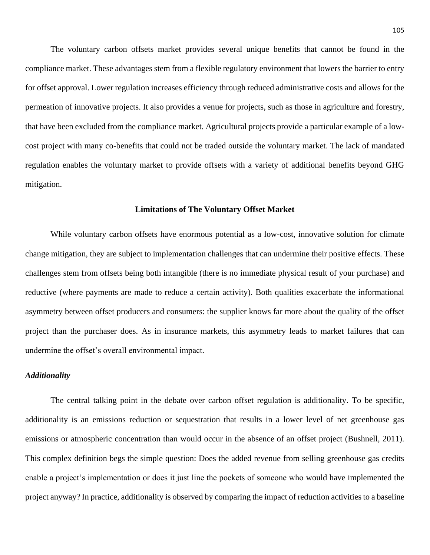The voluntary carbon offsets market provides several unique benefits that cannot be found in the compliance market. These advantages stem from a flexible regulatory environment that lowers the barrier to entry for offset approval. Lower regulation increases efficiency through reduced administrative costs and allows for the permeation of innovative projects. It also provides a venue for projects, such as those in agriculture and forestry, that have been excluded from the compliance market. Agricultural projects provide a particular example of a lowcost project with many co-benefits that could not be traded outside the voluntary market. The lack of mandated regulation enables the voluntary market to provide offsets with a variety of additional benefits beyond GHG mitigation.

#### **Limitations of The Voluntary Offset Market**

While voluntary carbon offsets have enormous potential as a low-cost, innovative solution for climate change mitigation, they are subject to implementation challenges that can undermine their positive effects. These challenges stem from offsets being both intangible (there is no immediate physical result of your purchase) and reductive (where payments are made to reduce a certain activity). Both qualities exacerbate the informational asymmetry between offset producers and consumers: the supplier knows far more about the quality of the offset project than the purchaser does. As in insurance markets, this asymmetry leads to market failures that can undermine the offset's overall environmental impact.

# *Additionality*

The central talking point in the debate over carbon offset regulation is additionality. To be specific, additionality is an emissions reduction or sequestration that results in a lower level of net greenhouse gas emissions or atmospheric concentration than would occur in the absence of an offset project (Bushnell, 2011). This complex definition begs the simple question: Does the added revenue from selling greenhouse gas credits enable a project's implementation or does it just line the pockets of someone who would have implemented the project anyway? In practice, additionality is observed by comparing the impact of reduction activities to a baseline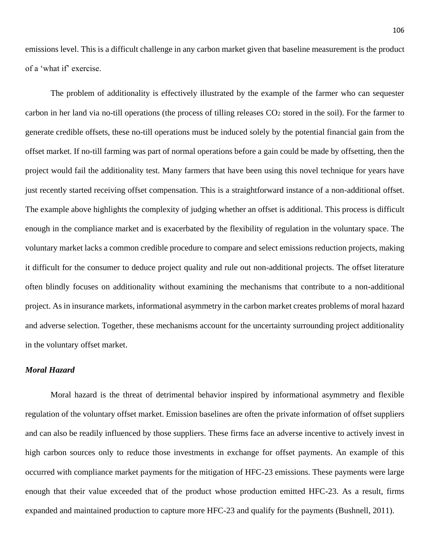emissions level. This is a difficult challenge in any carbon market given that baseline measurement is the product of a 'what if' exercise.

The problem of additionality is effectively illustrated by the example of the farmer who can sequester carbon in her land via no-till operations (the process of tilling releases  $CO<sub>2</sub>$  stored in the soil). For the farmer to generate credible offsets, these no-till operations must be induced solely by the potential financial gain from the offset market. If no-till farming was part of normal operations before a gain could be made by offsetting, then the project would fail the additionality test. Many farmers that have been using this novel technique for years have just recently started receiving offset compensation. This is a straightforward instance of a non-additional offset. The example above highlights the complexity of judging whether an offset is additional. This process is difficult enough in the compliance market and is exacerbated by the flexibility of regulation in the voluntary space. The voluntary market lacks a common credible procedure to compare and select emissions reduction projects, making it difficult for the consumer to deduce project quality and rule out non-additional projects. The offset literature often blindly focuses on additionality without examining the mechanisms that contribute to a non-additional project. As in insurance markets, informational asymmetry in the carbon market creates problems of moral hazard and adverse selection. Together, these mechanisms account for the uncertainty surrounding project additionality in the voluntary offset market.

# *Moral Hazard*

Moral hazard is the threat of detrimental behavior inspired by informational asymmetry and flexible regulation of the voluntary offset market. Emission baselines are often the private information of offset suppliers and can also be readily influenced by those suppliers. These firms face an adverse incentive to actively invest in high carbon sources only to reduce those investments in exchange for offset payments. An example of this occurred with compliance market payments for the mitigation of HFC-23 emissions. These payments were large enough that their value exceeded that of the product whose production emitted HFC-23. As a result, firms expanded and maintained production to capture more HFC-23 and qualify for the payments (Bushnell, 2011).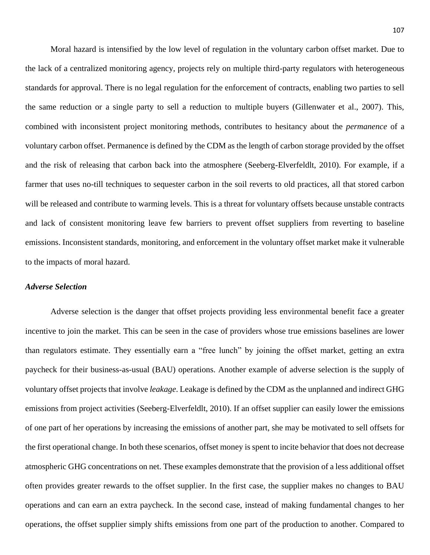Moral hazard is intensified by the low level of regulation in the voluntary carbon offset market. Due to the lack of a centralized monitoring agency, projects rely on multiple third-party regulators with heterogeneous standards for approval. There is no legal regulation for the enforcement of contracts, enabling two parties to sell the same reduction or a single party to sell a reduction to multiple buyers (Gillenwater et al., 2007). This, combined with inconsistent project monitoring methods, contributes to hesitancy about the *permanence* of a voluntary carbon offset. Permanence is defined by the CDM as the length of carbon storage provided by the offset and the risk of releasing that carbon back into the atmosphere (Seeberg-Elverfeldlt, 2010). For example, if a farmer that uses no-till techniques to sequester carbon in the soil reverts to old practices, all that stored carbon will be released and contribute to warming levels. This is a threat for voluntary offsets because unstable contracts and lack of consistent monitoring leave few barriers to prevent offset suppliers from reverting to baseline emissions. Inconsistent standards, monitoring, and enforcement in the voluntary offset market make it vulnerable to the impacts of moral hazard.

#### *Adverse Selection*

Adverse selection is the danger that offset projects providing less environmental benefit face a greater incentive to join the market. This can be seen in the case of providers whose true emissions baselines are lower than regulators estimate. They essentially earn a "free lunch" by joining the offset market, getting an extra paycheck for their business-as-usual (BAU) operations. Another example of adverse selection is the supply of voluntary offset projects that involve *leakage*. Leakage is defined by the CDM as the unplanned and indirect GHG emissions from project activities (Seeberg-Elverfeldlt, 2010). If an offset supplier can easily lower the emissions of one part of her operations by increasing the emissions of another part, she may be motivated to sell offsets for the first operational change. In both these scenarios, offset money is spent to incite behavior that does not decrease atmospheric GHG concentrations on net. These examples demonstrate that the provision of a less additional offset often provides greater rewards to the offset supplier. In the first case, the supplier makes no changes to BAU operations and can earn an extra paycheck. In the second case, instead of making fundamental changes to her operations, the offset supplier simply shifts emissions from one part of the production to another. Compared to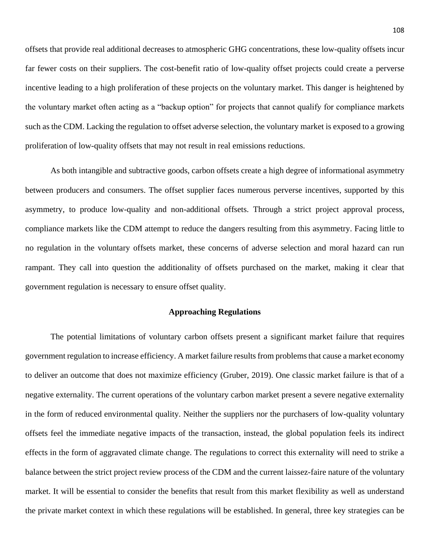offsets that provide real additional decreases to atmospheric GHG concentrations, these low-quality offsets incur far fewer costs on their suppliers. The cost-benefit ratio of low-quality offset projects could create a perverse incentive leading to a high proliferation of these projects on the voluntary market. This danger is heightened by the voluntary market often acting as a "backup option" for projects that cannot qualify for compliance markets such as the CDM. Lacking the regulation to offset adverse selection, the voluntary market is exposed to a growing proliferation of low-quality offsets that may not result in real emissions reductions.

As both intangible and subtractive goods, carbon offsets create a high degree of informational asymmetry between producers and consumers. The offset supplier faces numerous perverse incentives, supported by this asymmetry, to produce low-quality and non-additional offsets. Through a strict project approval process, compliance markets like the CDM attempt to reduce the dangers resulting from this asymmetry. Facing little to no regulation in the voluntary offsets market, these concerns of adverse selection and moral hazard can run rampant. They call into question the additionality of offsets purchased on the market, making it clear that government regulation is necessary to ensure offset quality.

### **Approaching Regulations**

The potential limitations of voluntary carbon offsets present a significant market failure that requires government regulation to increase efficiency. A market failure results from problems that cause a market economy to deliver an outcome that does not maximize efficiency (Gruber, 2019). One classic market failure is that of a negative externality. The current operations of the voluntary carbon market present a severe negative externality in the form of reduced environmental quality. Neither the suppliers nor the purchasers of low-quality voluntary offsets feel the immediate negative impacts of the transaction, instead, the global population feels its indirect effects in the form of aggravated climate change. The regulations to correct this externality will need to strike a balance between the strict project review process of the CDM and the current laissez-faire nature of the voluntary market. It will be essential to consider the benefits that result from this market flexibility as well as understand the private market context in which these regulations will be established. In general, three key strategies can be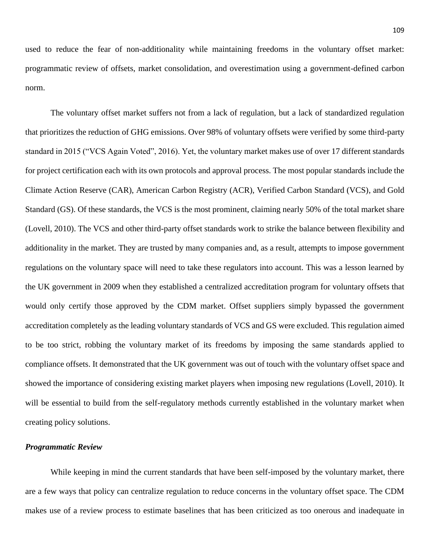used to reduce the fear of non-additionality while maintaining freedoms in the voluntary offset market: programmatic review of offsets, market consolidation, and overestimation using a government-defined carbon norm.

The voluntary offset market suffers not from a lack of regulation, but a lack of standardized regulation that prioritizes the reduction of GHG emissions. Over 98% of voluntary offsets were verified by some third-party standard in 2015 ("VCS Again Voted", 2016). Yet, the voluntary market makes use of over 17 different standards for project certification each with its own protocols and approval process. The most popular standards include the Climate Action Reserve (CAR), American Carbon Registry (ACR), Verified Carbon Standard (VCS), and Gold Standard (GS). Of these standards, the VCS is the most prominent, claiming nearly 50% of the total market share (Lovell, 2010). The VCS and other third-party offset standards work to strike the balance between flexibility and additionality in the market. They are trusted by many companies and, as a result, attempts to impose government regulations on the voluntary space will need to take these regulators into account. This was a lesson learned by the UK government in 2009 when they established a centralized accreditation program for voluntary offsets that would only certify those approved by the CDM market. Offset suppliers simply bypassed the government accreditation completely as the leading voluntary standards of VCS and GS were excluded. This regulation aimed to be too strict, robbing the voluntary market of its freedoms by imposing the same standards applied to compliance offsets. It demonstrated that the UK government was out of touch with the voluntary offset space and showed the importance of considering existing market players when imposing new regulations (Lovell, 2010). It will be essential to build from the self-regulatory methods currently established in the voluntary market when creating policy solutions.

# *Programmatic Review*

While keeping in mind the current standards that have been self-imposed by the voluntary market, there are a few ways that policy can centralize regulation to reduce concerns in the voluntary offset space. The CDM makes use of a review process to estimate baselines that has been criticized as too onerous and inadequate in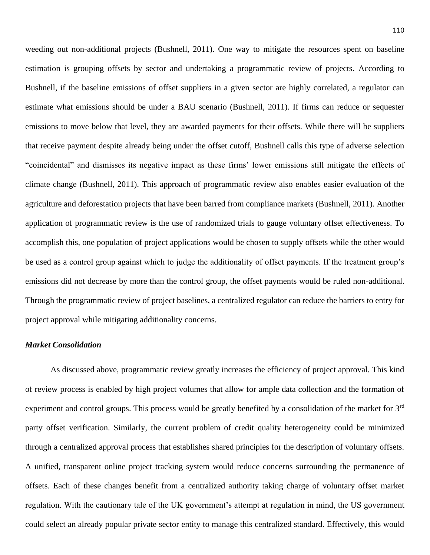weeding out non-additional projects (Bushnell, 2011). One way to mitigate the resources spent on baseline estimation is grouping offsets by sector and undertaking a programmatic review of projects. According to Bushnell, if the baseline emissions of offset suppliers in a given sector are highly correlated, a regulator can estimate what emissions should be under a BAU scenario (Bushnell, 2011). If firms can reduce or sequester emissions to move below that level, they are awarded payments for their offsets. While there will be suppliers that receive payment despite already being under the offset cutoff, Bushnell calls this type of adverse selection "coincidental" and dismisses its negative impact as these firms' lower emissions still mitigate the effects of climate change (Bushnell, 2011). This approach of programmatic review also enables easier evaluation of the agriculture and deforestation projects that have been barred from compliance markets (Bushnell, 2011). Another application of programmatic review is the use of randomized trials to gauge voluntary offset effectiveness. To accomplish this, one population of project applications would be chosen to supply offsets while the other would be used as a control group against which to judge the additionality of offset payments. If the treatment group's emissions did not decrease by more than the control group, the offset payments would be ruled non-additional. Through the programmatic review of project baselines, a centralized regulator can reduce the barriers to entry for project approval while mitigating additionality concerns.

# *Market Consolidation*

As discussed above, programmatic review greatly increases the efficiency of project approval. This kind of review process is enabled by high project volumes that allow for ample data collection and the formation of experiment and control groups. This process would be greatly benefited by a consolidation of the market for 3<sup>rd</sup> party offset verification. Similarly, the current problem of credit quality heterogeneity could be minimized through a centralized approval process that establishes shared principles for the description of voluntary offsets. A unified, transparent online project tracking system would reduce concerns surrounding the permanence of offsets. Each of these changes benefit from a centralized authority taking charge of voluntary offset market regulation. With the cautionary tale of the UK government's attempt at regulation in mind, the US government could select an already popular private sector entity to manage this centralized standard. Effectively, this would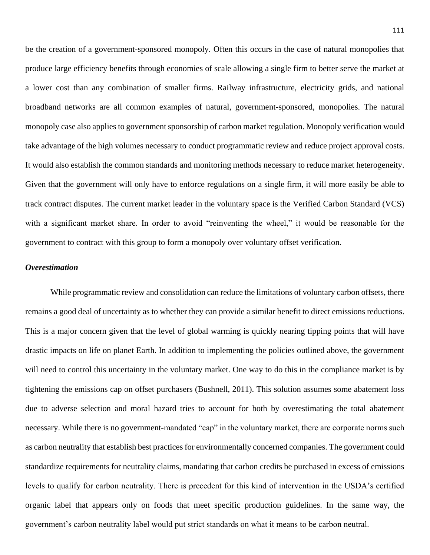be the creation of a government-sponsored monopoly. Often this occurs in the case of natural monopolies that produce large efficiency benefits through economies of scale allowing a single firm to better serve the market at a lower cost than any combination of smaller firms. Railway infrastructure, electricity grids, and national broadband networks are all common examples of natural, government-sponsored, monopolies. The natural monopoly case also applies to government sponsorship of carbon market regulation. Monopoly verification would take advantage of the high volumes necessary to conduct programmatic review and reduce project approval costs. It would also establish the common standards and monitoring methods necessary to reduce market heterogeneity. Given that the government will only have to enforce regulations on a single firm, it will more easily be able to track contract disputes. The current market leader in the voluntary space is the Verified Carbon Standard (VCS) with a significant market share. In order to avoid "reinventing the wheel," it would be reasonable for the government to contract with this group to form a monopoly over voluntary offset verification.

#### *Overestimation*

While programmatic review and consolidation can reduce the limitations of voluntary carbon offsets, there remains a good deal of uncertainty as to whether they can provide a similar benefit to direct emissions reductions. This is a major concern given that the level of global warming is quickly nearing tipping points that will have drastic impacts on life on planet Earth. In addition to implementing the policies outlined above, the government will need to control this uncertainty in the voluntary market. One way to do this in the compliance market is by tightening the emissions cap on offset purchasers (Bushnell, 2011). This solution assumes some abatement loss due to adverse selection and moral hazard tries to account for both by overestimating the total abatement necessary. While there is no government-mandated "cap" in the voluntary market, there are corporate norms such as carbon neutrality that establish best practices for environmentally concerned companies. The government could standardize requirements for neutrality claims, mandating that carbon credits be purchased in excess of emissions levels to qualify for carbon neutrality. There is precedent for this kind of intervention in the USDA's certified organic label that appears only on foods that meet specific production guidelines. In the same way, the government's carbon neutrality label would put strict standards on what it means to be carbon neutral.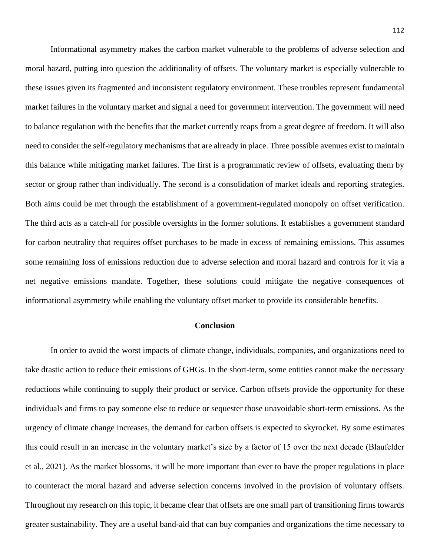Informational asymmetry makes the carbon market vulnerable to the problems of adverse selection and moral hazard, putting into question the additionality of offsets. The voluntary market is especially vulnerable to these issues given its fragmented and inconsistent regulatory environment. These troubles represent fundamental market failures in the voluntary market and signal a need for government intervention. The government will need to balance regulation with the benefits that the market currently reaps from a great degree of freedom. It will also need to consider the self-regulatory mechanisms that are already in place. Three possible avenues exist to maintain this balance while mitigating market failures. The first is a programmatic review of offsets, evaluating them by sector or group rather than individually. The second is a consolidation of market ideals and reporting strategies. Both aims could be met through the establishment of a government-regulated monopoly on offset verification. The third acts as a catch-all for possible oversights in the former solutions. It establishes a government standard for carbon neutrality that requires offset purchases to be made in excess of remaining emissions. This assumes some remaining loss of emissions reduction due to adverse selection and moral hazard and controls for it via a net negative emissions mandate. Together, these solutions could mitigate the negative consequences of informational asymmetry while enabling the voluntary offset market to provide its considerable benefits.

#### **Conclusion**

In order to avoid the worst impacts of climate change, individuals, companies, and organizations need to take drastic action to reduce their emissions of GHGs. In the short-term, some entities cannot make the necessary reductions while continuing to supply their product or service. Carbon offsets provide the opportunity for these individuals and firms to pay someone else to reduce or sequester those unavoidable short-term emissions. As the urgency of climate change increases, the demand for carbon offsets is expected to skyrocket. By some estimates this could result in an increase in the voluntary market's size by a factor of 15 over the next decade (Blaufelder et al., 2021). As the market blossoms, it will be more important than ever to have the proper regulations in place to counteract the moral hazard and adverse selection concerns involved in the provision of voluntary offsets. Throughout my research on this topic, it became clear that offsets are one small part of transitioning firms towards greater sustainability. They are a useful band-aid that can buy companies and organizations the time necessary to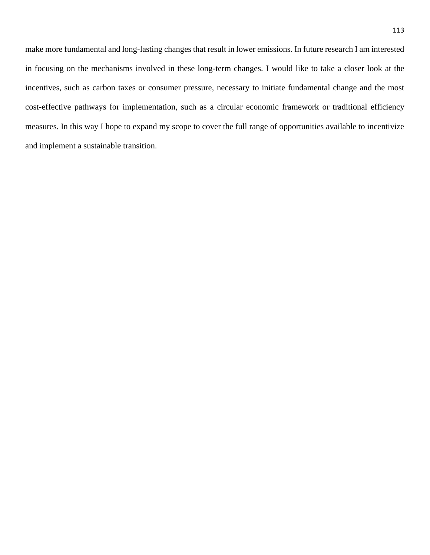make more fundamental and long-lasting changes that result in lower emissions. In future research I am interested in focusing on the mechanisms involved in these long-term changes. I would like to take a closer look at the incentives, such as carbon taxes or consumer pressure, necessary to initiate fundamental change and the most cost-effective pathways for implementation, such as a circular economic framework or traditional efficiency measures. In this way I hope to expand my scope to cover the full range of opportunities available to incentivize and implement a sustainable transition.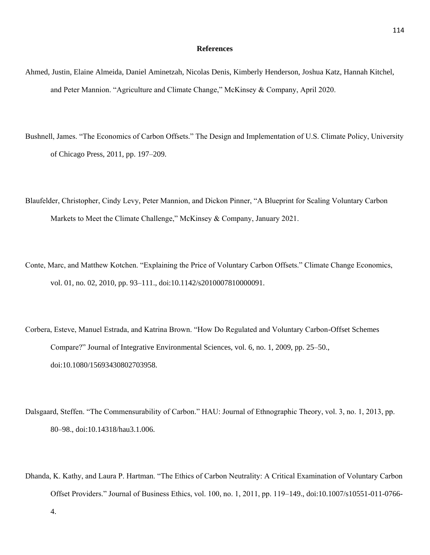#### **References**

- Ahmed, Justin, Elaine Almeida, Daniel Aminetzah, Nicolas Denis, Kimberly Henderson, Joshua Katz, Hannah Kitchel, and Peter Mannion. "Agriculture and Climate Change," McKinsey & Company, April 2020.
- Bushnell, James. "The Economics of Carbon Offsets." The Design and Implementation of U.S. Climate Policy, University of Chicago Press, 2011, pp. 197–209.
- Blaufelder, Christopher, Cindy Levy, Peter Mannion, and Dickon Pinner, "A Blueprint for Scaling Voluntary Carbon Markets to Meet the Climate Challenge," McKinsey & Company, January 2021.
- Conte, Marc, and Matthew Kotchen. "Explaining the Price of Voluntary Carbon Offsets." Climate Change Economics, vol. 01, no. 02, 2010, pp. 93–111., doi:10.1142/s2010007810000091.
- Corbera, Esteve, Manuel Estrada, and Katrina Brown. "How Do Regulated and Voluntary Carbon-Offset Schemes Compare?" Journal of Integrative Environmental Sciences, vol. 6, no. 1, 2009, pp. 25–50., doi:10.1080/15693430802703958.
- Dalsgaard, Steffen. "The Commensurability of Carbon." HAU: Journal of Ethnographic Theory, vol. 3, no. 1, 2013, pp. 80–98., doi:10.14318/hau3.1.006.
- Dhanda, K. Kathy, and Laura P. Hartman. "The Ethics of Carbon Neutrality: A Critical Examination of Voluntary Carbon Offset Providers." Journal of Business Ethics, vol. 100, no. 1, 2011, pp. 119–149., doi:10.1007/s10551-011-0766-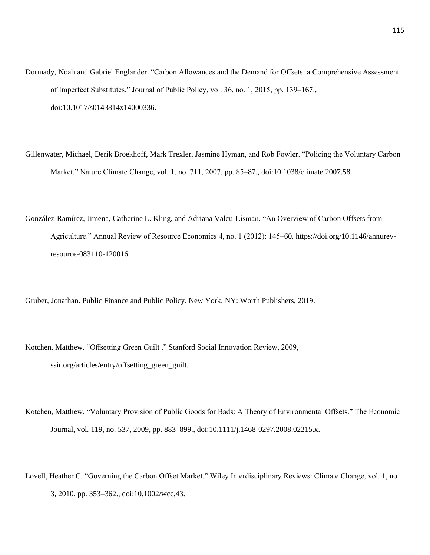- Dormady, Noah and Gabriel Englander. "Carbon Allowances and the Demand for Offsets: a Comprehensive Assessment of Imperfect Substitutes." Journal of Public Policy, vol. 36, no. 1, 2015, pp. 139–167., doi:10.1017/s0143814x14000336.
- Gillenwater, Michael, Derik Broekhoff, Mark Trexler, Jasmine Hyman, and Rob Fowler. "Policing the Voluntary Carbon Market." Nature Climate Change, vol. 1, no. 711, 2007, pp. 85–87., doi:10.1038/climate.2007.58.
- González-Ramírez, Jimena, Catherine L. Kling, and Adriana Valcu-Lisman. "An Overview of Carbon Offsets from Agriculture." Annual Review of Resource Economics 4, no. 1 (2012): 145–60. https://doi.org/10.1146/annurevresource-083110-120016.

Gruber, Jonathan. Public Finance and Public Policy. New York, NY: Worth Publishers, 2019.

Kotchen, Matthew. "Offsetting Green Guilt ." Stanford Social Innovation Review, 2009, ssir.org/articles/entry/offsetting\_green\_guilt.

- Kotchen, Matthew. "Voluntary Provision of Public Goods for Bads: A Theory of Environmental Offsets." The Economic Journal, vol. 119, no. 537, 2009, pp. 883–899., doi:10.1111/j.1468-0297.2008.02215.x.
- Lovell, Heather C. "Governing the Carbon Offset Market." Wiley Interdisciplinary Reviews: Climate Change, vol. 1, no. 3, 2010, pp. 353–362., doi:10.1002/wcc.43.